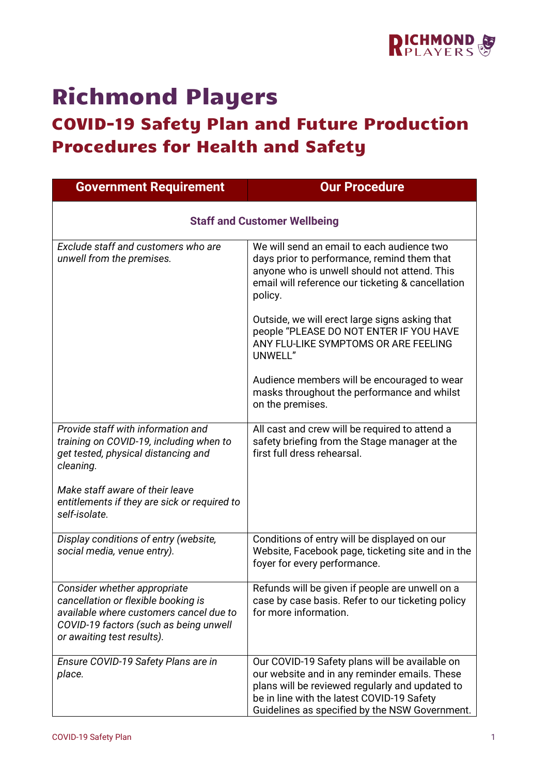

## Richmond Players

## COVID-19 Safety Plan and Future Production Procedures for Health and Safety

| <b>Government Requirement</b>                                                                                                                                                          | <b>Our Procedure</b>                                                                                                                                                                                                                               |  |
|----------------------------------------------------------------------------------------------------------------------------------------------------------------------------------------|----------------------------------------------------------------------------------------------------------------------------------------------------------------------------------------------------------------------------------------------------|--|
| <b>Staff and Customer Wellbeing</b>                                                                                                                                                    |                                                                                                                                                                                                                                                    |  |
| Exclude staff and customers who are<br>unwell from the premises.                                                                                                                       | We will send an email to each audience two<br>days prior to performance, remind them that<br>anyone who is unwell should not attend. This<br>email will reference our ticketing & cancellation<br>policy.                                          |  |
|                                                                                                                                                                                        | Outside, we will erect large signs asking that<br>people "PLEASE DO NOT ENTER IF YOU HAVE<br>ANY FLU-LIKE SYMPTOMS OR ARE FEELING<br>UNWELL"                                                                                                       |  |
|                                                                                                                                                                                        | Audience members will be encouraged to wear<br>masks throughout the performance and whilst<br>on the premises.                                                                                                                                     |  |
| Provide staff with information and<br>training on COVID-19, including when to<br>get tested, physical distancing and<br>cleaning.                                                      | All cast and crew will be required to attend a<br>safety briefing from the Stage manager at the<br>first full dress rehearsal.                                                                                                                     |  |
| Make staff aware of their leave<br>entitlements if they are sick or required to<br>self-isolate.                                                                                       |                                                                                                                                                                                                                                                    |  |
| Display conditions of entry (website,<br>social media, venue entry).                                                                                                                   | Conditions of entry will be displayed on our<br>Website, Facebook page, ticketing site and in the<br>foyer for every performance.                                                                                                                  |  |
| Consider whether appropriate<br>cancellation or flexible booking is<br>available where customers cancel due to<br>COVID-19 factors (such as being unwell<br>or awaiting test results). | Refunds will be given if people are unwell on a<br>case by case basis. Refer to our ticketing policy<br>for more information.                                                                                                                      |  |
| Ensure COVID-19 Safety Plans are in<br>place.                                                                                                                                          | Our COVID-19 Safety plans will be available on<br>our website and in any reminder emails. These<br>plans will be reviewed regularly and updated to<br>be in line with the latest COVID-19 Safety<br>Guidelines as specified by the NSW Government. |  |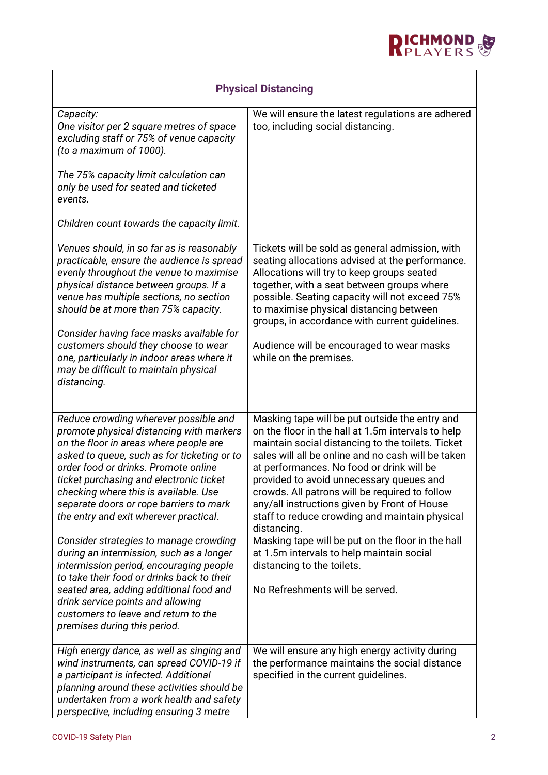

| <b>Physical Distancing</b>                                                                                                                                                                                                                                                                                                                                                                                                                                |                                                                                                                                                                                                                                                                                                                                                                                                                                                                             |  |
|-----------------------------------------------------------------------------------------------------------------------------------------------------------------------------------------------------------------------------------------------------------------------------------------------------------------------------------------------------------------------------------------------------------------------------------------------------------|-----------------------------------------------------------------------------------------------------------------------------------------------------------------------------------------------------------------------------------------------------------------------------------------------------------------------------------------------------------------------------------------------------------------------------------------------------------------------------|--|
| Capacity:<br>One visitor per 2 square metres of space<br>excluding staff or 75% of venue capacity<br>(to a maximum of 1000).                                                                                                                                                                                                                                                                                                                              | We will ensure the latest regulations are adhered<br>too, including social distancing.                                                                                                                                                                                                                                                                                                                                                                                      |  |
| The 75% capacity limit calculation can<br>only be used for seated and ticketed<br>events.                                                                                                                                                                                                                                                                                                                                                                 |                                                                                                                                                                                                                                                                                                                                                                                                                                                                             |  |
| Children count towards the capacity limit.                                                                                                                                                                                                                                                                                                                                                                                                                |                                                                                                                                                                                                                                                                                                                                                                                                                                                                             |  |
| Venues should, in so far as is reasonably<br>practicable, ensure the audience is spread<br>evenly throughout the venue to maximise<br>physical distance between groups. If a<br>venue has multiple sections, no section<br>should be at more than 75% capacity.<br>Consider having face masks available for<br>customers should they choose to wear<br>one, particularly in indoor areas where it<br>may be difficult to maintain physical<br>distancing. | Tickets will be sold as general admission, with<br>seating allocations advised at the performance.<br>Allocations will try to keep groups seated<br>together, with a seat between groups where<br>possible. Seating capacity will not exceed 75%<br>to maximise physical distancing between<br>groups, in accordance with current guidelines.<br>Audience will be encouraged to wear masks<br>while on the premises.                                                        |  |
| Reduce crowding wherever possible and<br>promote physical distancing with markers<br>on the floor in areas where people are<br>asked to queue, such as for ticketing or to<br>order food or drinks. Promote online<br>ticket purchasing and electronic ticket<br>checking where this is available. Use<br>separate doors or rope barriers to mark<br>the entry and exit wherever practical.                                                               | Masking tape will be put outside the entry and<br>on the floor in the hall at 1.5m intervals to help<br>maintain social distancing to the toilets. Ticket<br>sales will all be online and no cash will be taken<br>at performances. No food or drink will be<br>provided to avoid unnecessary queues and<br>crowds. All patrons will be required to follow<br>any/all instructions given by Front of House<br>staff to reduce crowding and maintain physical<br>distancing. |  |
| Consider strategies to manage crowding<br>during an intermission, such as a longer<br>intermission period, encouraging people<br>to take their food or drinks back to their<br>seated area, adding additional food and<br>drink service points and allowing<br>customers to leave and return to the<br>premises during this period.                                                                                                                       | Masking tape will be put on the floor in the hall<br>at 1.5m intervals to help maintain social<br>distancing to the toilets.<br>No Refreshments will be served.                                                                                                                                                                                                                                                                                                             |  |
| High energy dance, as well as singing and<br>wind instruments, can spread COVID-19 if<br>a participant is infected. Additional<br>planning around these activities should be<br>undertaken from a work health and safety<br>perspective, including ensuring 3 metre                                                                                                                                                                                       | We will ensure any high energy activity during<br>the performance maintains the social distance<br>specified in the current guidelines.                                                                                                                                                                                                                                                                                                                                     |  |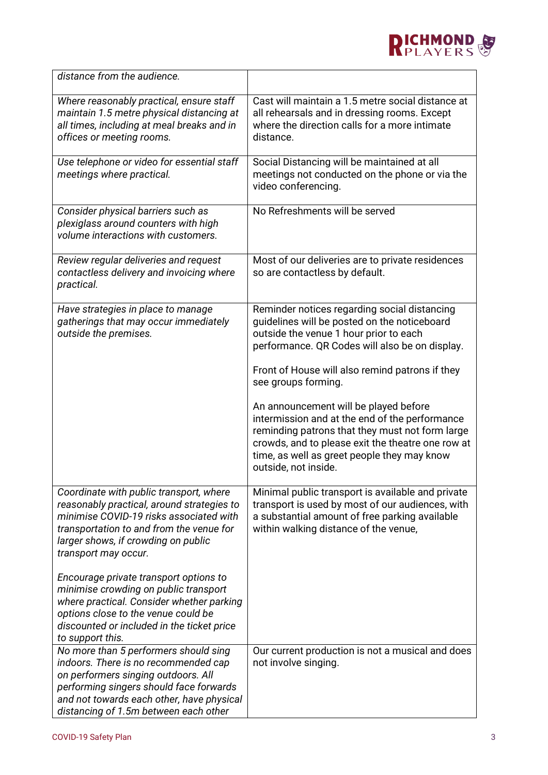

| distance from the audience.                                                                                                                                                                                                                           |                                                                                                                                                                                                                                                                        |
|-------------------------------------------------------------------------------------------------------------------------------------------------------------------------------------------------------------------------------------------------------|------------------------------------------------------------------------------------------------------------------------------------------------------------------------------------------------------------------------------------------------------------------------|
| Where reasonably practical, ensure staff<br>maintain 1.5 metre physical distancing at<br>all times, including at meal breaks and in<br>offices or meeting rooms.                                                                                      | Cast will maintain a 1.5 metre social distance at<br>all rehearsals and in dressing rooms. Except<br>where the direction calls for a more intimate<br>distance.                                                                                                        |
| Use telephone or video for essential staff<br>meetings where practical.                                                                                                                                                                               | Social Distancing will be maintained at all<br>meetings not conducted on the phone or via the<br>video conferencing.                                                                                                                                                   |
| Consider physical barriers such as<br>plexiglass around counters with high<br>volume interactions with customers.                                                                                                                                     | No Refreshments will be served                                                                                                                                                                                                                                         |
| Review regular deliveries and request<br>contactless delivery and invoicing where<br>practical.                                                                                                                                                       | Most of our deliveries are to private residences<br>so are contactless by default.                                                                                                                                                                                     |
| Have strategies in place to manage<br>gatherings that may occur immediately<br>outside the premises.                                                                                                                                                  | Reminder notices regarding social distancing<br>guidelines will be posted on the noticeboard<br>outside the venue 1 hour prior to each<br>performance. QR Codes will also be on display.<br>Front of House will also remind patrons if they<br>see groups forming.     |
|                                                                                                                                                                                                                                                       | An announcement will be played before<br>intermission and at the end of the performance<br>reminding patrons that they must not form large<br>crowds, and to please exit the theatre one row at<br>time, as well as greet people they may know<br>outside, not inside. |
| Coordinate with public transport, where<br>reasonably practical, around strategies to<br>minimise COVID-19 risks associated with<br>transportation to and from the venue for<br>larger shows, if crowding on public<br>transport may occur.           | Minimal public transport is available and private<br>transport is used by most of our audiences, with<br>a substantial amount of free parking available<br>within walking distance of the venue,                                                                       |
| Encourage private transport options to<br>minimise crowding on public transport<br>where practical. Consider whether parking<br>options close to the venue could be<br>discounted or included in the ticket price<br>to support this.                 |                                                                                                                                                                                                                                                                        |
| No more than 5 performers should sing<br>indoors. There is no recommended cap<br>on performers singing outdoors. All<br>performing singers should face forwards<br>and not towards each other, have physical<br>distancing of 1.5m between each other | Our current production is not a musical and does<br>not involve singing.                                                                                                                                                                                               |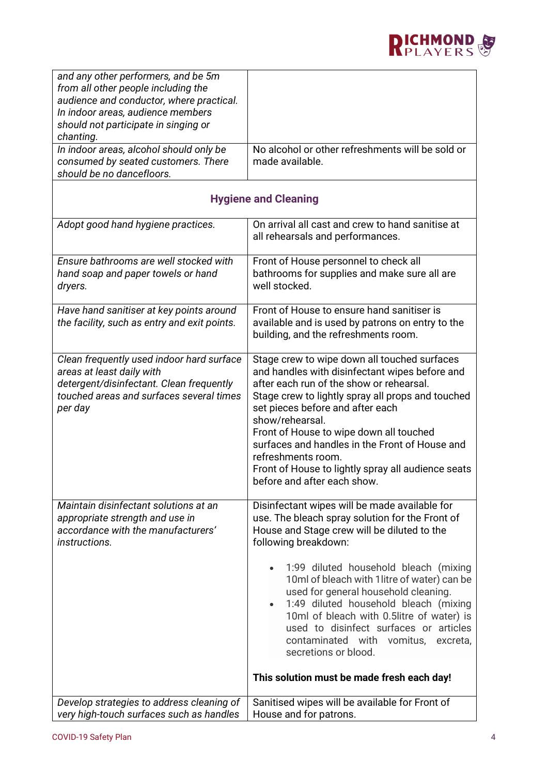

| and any other performers, and be 5m<br>from all other people including the<br>audience and conductor, where practical.<br>In indoor areas, audience members               |                                                                                                                                                                                                                                                                                                                                                                                                                                                                |  |
|---------------------------------------------------------------------------------------------------------------------------------------------------------------------------|----------------------------------------------------------------------------------------------------------------------------------------------------------------------------------------------------------------------------------------------------------------------------------------------------------------------------------------------------------------------------------------------------------------------------------------------------------------|--|
| should not participate in singing or<br>chanting.                                                                                                                         |                                                                                                                                                                                                                                                                                                                                                                                                                                                                |  |
| In indoor areas, alcohol should only be<br>consumed by seated customers. There<br>should be no dancefloors.                                                               | No alcohol or other refreshments will be sold or<br>made available.                                                                                                                                                                                                                                                                                                                                                                                            |  |
| <b>Hygiene and Cleaning</b>                                                                                                                                               |                                                                                                                                                                                                                                                                                                                                                                                                                                                                |  |
| Adopt good hand hygiene practices.                                                                                                                                        | On arrival all cast and crew to hand sanitise at<br>all rehearsals and performances.                                                                                                                                                                                                                                                                                                                                                                           |  |
| Ensure bathrooms are well stocked with<br>hand soap and paper towels or hand<br>dryers.                                                                                   | Front of House personnel to check all<br>bathrooms for supplies and make sure all are<br>well stocked.                                                                                                                                                                                                                                                                                                                                                         |  |
| Have hand sanitiser at key points around<br>the facility, such as entry and exit points.                                                                                  | Front of House to ensure hand sanitiser is<br>available and is used by patrons on entry to the<br>building, and the refreshments room.                                                                                                                                                                                                                                                                                                                         |  |
| Clean frequently used indoor hard surface<br>areas at least daily with<br>detergent/disinfectant. Clean frequently<br>touched areas and surfaces several times<br>per day | Stage crew to wipe down all touched surfaces<br>and handles with disinfectant wipes before and<br>after each run of the show or rehearsal.<br>Stage crew to lightly spray all props and touched<br>set pieces before and after each<br>show/rehearsal.<br>Front of House to wipe down all touched<br>surfaces and handles in the Front of House and<br>refreshments room.<br>Front of House to lightly spray all audience seats<br>before and after each show. |  |
| Maintain disinfectant solutions at an<br>appropriate strength and use in<br>accordance with the manufacturers'<br><i>instructions.</i>                                    | Disinfectant wipes will be made available for<br>use. The bleach spray solution for the Front of<br>House and Stage crew will be diluted to the<br>following breakdown:                                                                                                                                                                                                                                                                                        |  |
|                                                                                                                                                                           | 1:99 diluted household bleach (mixing<br>10ml of bleach with 1 litre of water) can be<br>used for general household cleaning.<br>1:49 diluted household bleach (mixing<br>$\bullet$<br>10ml of bleach with 0.5litre of water) is<br>used to disinfect surfaces or articles<br>contaminated with vomitus,<br>excreta,<br>secretions or blood.<br>This solution must be made fresh each day!                                                                     |  |
| Develop strategies to address cleaning of<br>very high-touch surfaces such as handles                                                                                     | Sanitised wipes will be available for Front of<br>House and for patrons.                                                                                                                                                                                                                                                                                                                                                                                       |  |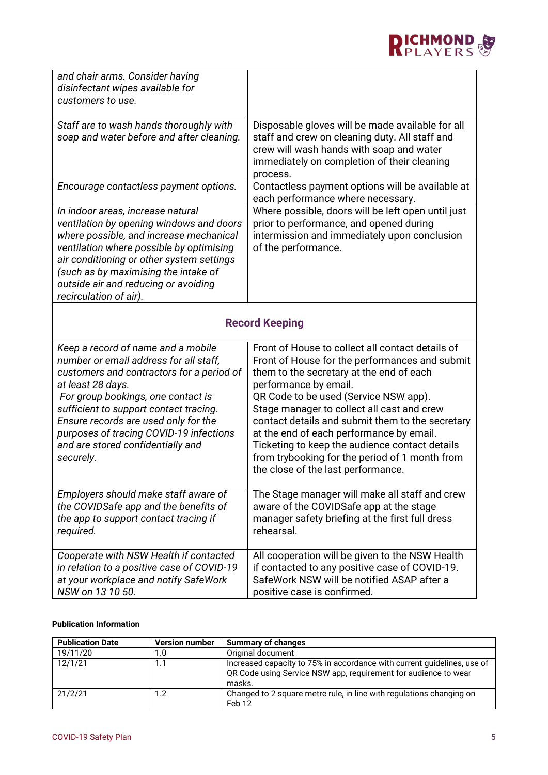

| and chair arms. Consider having                                                                                                                                                                                                                                                                                                                                     |                                                                                                                                                                                                                                                                                                                                                                                                                                                                                                          |  |
|---------------------------------------------------------------------------------------------------------------------------------------------------------------------------------------------------------------------------------------------------------------------------------------------------------------------------------------------------------------------|----------------------------------------------------------------------------------------------------------------------------------------------------------------------------------------------------------------------------------------------------------------------------------------------------------------------------------------------------------------------------------------------------------------------------------------------------------------------------------------------------------|--|
| disinfectant wipes available for                                                                                                                                                                                                                                                                                                                                    |                                                                                                                                                                                                                                                                                                                                                                                                                                                                                                          |  |
| customers to use.                                                                                                                                                                                                                                                                                                                                                   |                                                                                                                                                                                                                                                                                                                                                                                                                                                                                                          |  |
| Staff are to wash hands thoroughly with<br>soap and water before and after cleaning.                                                                                                                                                                                                                                                                                | Disposable gloves will be made available for all<br>staff and crew on cleaning duty. All staff and<br>crew will wash hands with soap and water<br>immediately on completion of their cleaning<br>process.                                                                                                                                                                                                                                                                                                |  |
| Encourage contactless payment options.                                                                                                                                                                                                                                                                                                                              | Contactless payment options will be available at<br>each performance where necessary.                                                                                                                                                                                                                                                                                                                                                                                                                    |  |
| In indoor areas, increase natural<br>ventilation by opening windows and doors<br>where possible, and increase mechanical<br>ventilation where possible by optimising<br>air conditioning or other system settings<br>(such as by maximising the intake of<br>outside air and reducing or avoiding<br>recirculation of air).                                         | Where possible, doors will be left open until just<br>prior to performance, and opened during<br>intermission and immediately upon conclusion<br>of the performance.                                                                                                                                                                                                                                                                                                                                     |  |
| <b>Record Keeping</b>                                                                                                                                                                                                                                                                                                                                               |                                                                                                                                                                                                                                                                                                                                                                                                                                                                                                          |  |
| Keep a record of name and a mobile<br>number or email address for all staff,<br>customers and contractors for a period of<br>at least 28 days.<br>For group bookings, one contact is<br>sufficient to support contact tracing.<br>Ensure records are used only for the<br>purposes of tracing COVID-19 infections<br>and are stored confidentially and<br>securely. | Front of House to collect all contact details of<br>Front of House for the performances and submit<br>them to the secretary at the end of each<br>performance by email.<br>QR Code to be used (Service NSW app).<br>Stage manager to collect all cast and crew<br>contact details and submit them to the secretary<br>at the end of each performance by email.<br>Ticketing to keep the audience contact details<br>from trybooking for the period of 1 month from<br>the close of the last performance. |  |
| Employers should make staff aware of<br>the COVIDSafe app and the benefits of<br>the app to support contact tracing if<br>required.                                                                                                                                                                                                                                 | The Stage manager will make all staff and crew<br>aware of the COVIDSafe app at the stage<br>manager safety briefing at the first full dress<br>rehearsal.                                                                                                                                                                                                                                                                                                                                               |  |
| Cooperate with NSW Health if contacted<br>in relation to a positive case of COVID-19<br>at your workplace and notify SafeWork<br>NSW on 13 10 50.                                                                                                                                                                                                                   | All cooperation will be given to the NSW Health<br>if contacted to any positive case of COVID-19.<br>SafeWork NSW will be notified ASAP after a<br>positive case is confirmed.                                                                                                                                                                                                                                                                                                                           |  |

## **Publication Information**

| <b>Publication Date</b> | <b>Version number</b> | <b>Summary of changes</b>                                                                                                                            |
|-------------------------|-----------------------|------------------------------------------------------------------------------------------------------------------------------------------------------|
| 19/11/20                | 1.0                   | Original document                                                                                                                                    |
| 12/1/21                 | 1.1                   | Increased capacity to 75% in accordance with current guidelines, use of<br>QR Code using Service NSW app, requirement for audience to wear<br>masks. |
| 21/2/21                 | 1.2                   | Changed to 2 square metre rule, in line with regulations changing on<br>Feb 12                                                                       |